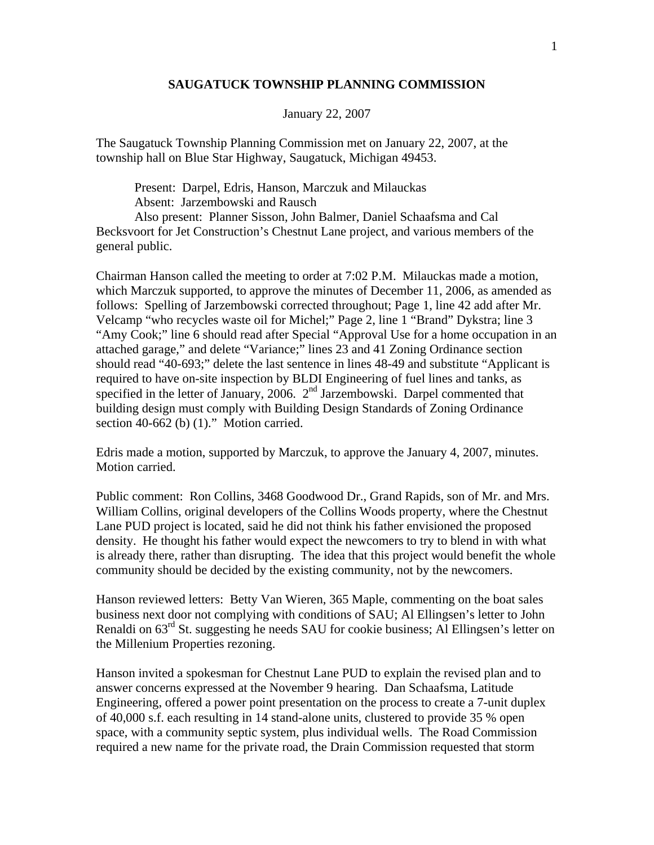## **SAUGATUCK TOWNSHIP PLANNING COMMISSION**

## January 22, 2007

The Saugatuck Township Planning Commission met on January 22, 2007, at the township hall on Blue Star Highway, Saugatuck, Michigan 49453.

 Present: Darpel, Edris, Hanson, Marczuk and Milauckas Absent: Jarzembowski and Rausch

 Also present: Planner Sisson, John Balmer, Daniel Schaafsma and Cal Becksvoort for Jet Construction's Chestnut Lane project, and various members of the general public.

Chairman Hanson called the meeting to order at 7:02 P.M. Milauckas made a motion, which Marczuk supported, to approve the minutes of December 11, 2006, as amended as follows: Spelling of Jarzembowski corrected throughout; Page 1, line 42 add after Mr. Velcamp "who recycles waste oil for Michel;" Page 2, line 1 "Brand" Dykstra; line 3 "Amy Cook;" line 6 should read after Special "Approval Use for a home occupation in an attached garage," and delete "Variance;" lines 23 and 41 Zoning Ordinance section should read "40-693;" delete the last sentence in lines 48-49 and substitute "Applicant is required to have on-site inspection by BLDI Engineering of fuel lines and tanks, as specified in the letter of January, 2006.  $2<sup>nd</sup>$  Jarzembowski. Darpel commented that building design must comply with Building Design Standards of Zoning Ordinance section 40-662 (b) (1)." Motion carried.

Edris made a motion, supported by Marczuk, to approve the January 4, 2007, minutes. Motion carried.

Public comment: Ron Collins, 3468 Goodwood Dr., Grand Rapids, son of Mr. and Mrs. William Collins, original developers of the Collins Woods property, where the Chestnut Lane PUD project is located, said he did not think his father envisioned the proposed density. He thought his father would expect the newcomers to try to blend in with what is already there, rather than disrupting. The idea that this project would benefit the whole community should be decided by the existing community, not by the newcomers.

Hanson reviewed letters: Betty Van Wieren, 365 Maple, commenting on the boat sales business next door not complying with conditions of SAU; Al Ellingsen's letter to John Renaldi on 63rd St. suggesting he needs SAU for cookie business; Al Ellingsen's letter on the Millenium Properties rezoning.

Hanson invited a spokesman for Chestnut Lane PUD to explain the revised plan and to answer concerns expressed at the November 9 hearing. Dan Schaafsma, Latitude Engineering, offered a power point presentation on the process to create a 7-unit duplex of 40,000 s.f. each resulting in 14 stand-alone units, clustered to provide 35 % open space, with a community septic system, plus individual wells. The Road Commission required a new name for the private road, the Drain Commission requested that storm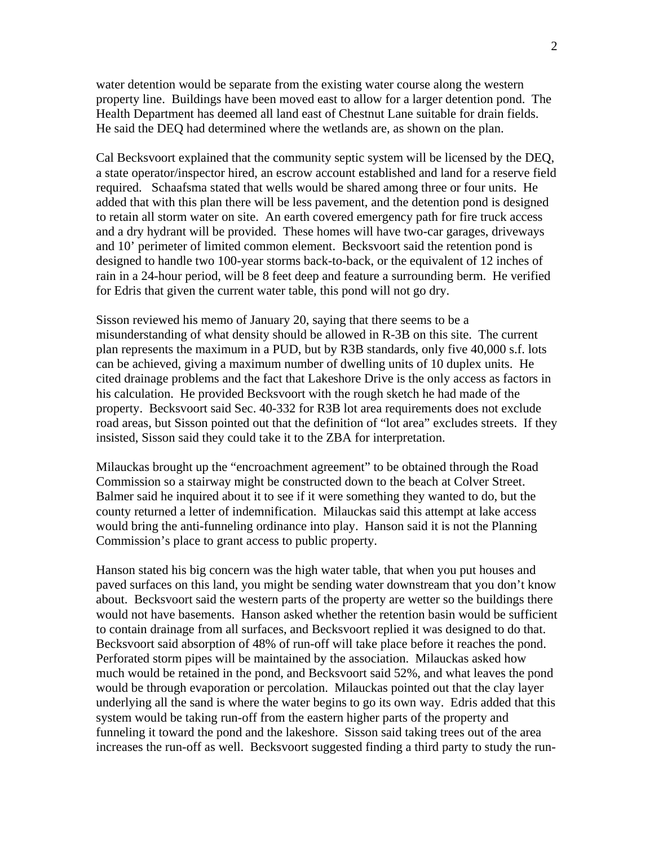water detention would be separate from the existing water course along the western property line. Buildings have been moved east to allow for a larger detention pond. The Health Department has deemed all land east of Chestnut Lane suitable for drain fields. He said the DEQ had determined where the wetlands are, as shown on the plan.

Cal Becksvoort explained that the community septic system will be licensed by the DEQ, a state operator/inspector hired, an escrow account established and land for a reserve field required. Schaafsma stated that wells would be shared among three or four units. He added that with this plan there will be less pavement, and the detention pond is designed to retain all storm water on site. An earth covered emergency path for fire truck access and a dry hydrant will be provided. These homes will have two-car garages, driveways and 10' perimeter of limited common element. Becksvoort said the retention pond is designed to handle two 100-year storms back-to-back, or the equivalent of 12 inches of rain in a 24-hour period, will be 8 feet deep and feature a surrounding berm. He verified for Edris that given the current water table, this pond will not go dry.

Sisson reviewed his memo of January 20, saying that there seems to be a misunderstanding of what density should be allowed in R-3B on this site. The current plan represents the maximum in a PUD, but by R3B standards, only five 40,000 s.f. lots can be achieved, giving a maximum number of dwelling units of 10 duplex units. He cited drainage problems and the fact that Lakeshore Drive is the only access as factors in his calculation. He provided Becksvoort with the rough sketch he had made of the property. Becksvoort said Sec. 40-332 for R3B lot area requirements does not exclude road areas, but Sisson pointed out that the definition of "lot area" excludes streets. If they insisted, Sisson said they could take it to the ZBA for interpretation.

Milauckas brought up the "encroachment agreement" to be obtained through the Road Commission so a stairway might be constructed down to the beach at Colver Street. Balmer said he inquired about it to see if it were something they wanted to do, but the county returned a letter of indemnification. Milauckas said this attempt at lake access would bring the anti-funneling ordinance into play. Hanson said it is not the Planning Commission's place to grant access to public property.

Hanson stated his big concern was the high water table, that when you put houses and paved surfaces on this land, you might be sending water downstream that you don't know about. Becksvoort said the western parts of the property are wetter so the buildings there would not have basements. Hanson asked whether the retention basin would be sufficient to contain drainage from all surfaces, and Becksvoort replied it was designed to do that. Becksvoort said absorption of 48% of run-off will take place before it reaches the pond. Perforated storm pipes will be maintained by the association. Milauckas asked how much would be retained in the pond, and Becksvoort said 52%, and what leaves the pond would be through evaporation or percolation. Milauckas pointed out that the clay layer underlying all the sand is where the water begins to go its own way. Edris added that this system would be taking run-off from the eastern higher parts of the property and funneling it toward the pond and the lakeshore. Sisson said taking trees out of the area increases the run-off as well. Becksvoort suggested finding a third party to study the run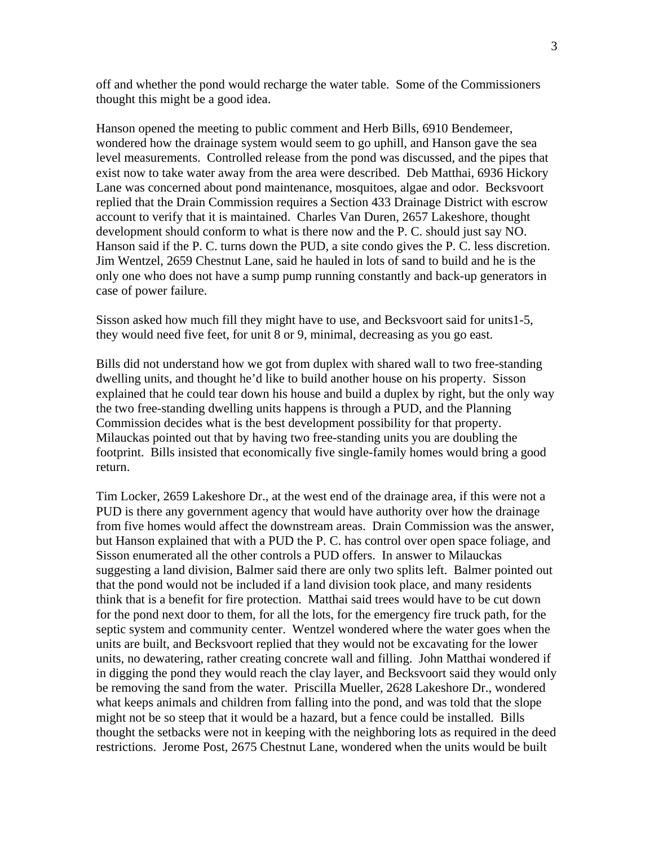off and whether the pond would recharge the water table. Some of the Commissioners thought this might be a good idea.

Hanson opened the meeting to public comment and Herb Bills, 6910 Bendemeer, wondered how the drainage system would seem to go uphill, and Hanson gave the sea level measurements. Controlled release from the pond was discussed, and the pipes that exist now to take water away from the area were described. Deb Matthai, 6936 Hickory Lane was concerned about pond maintenance, mosquitoes, algae and odor. Becksvoort replied that the Drain Commission requires a Section 433 Drainage District with escrow account to verify that it is maintained. Charles Van Duren, 2657 Lakeshore, thought development should conform to what is there now and the P. C. should just say NO. Hanson said if the P. C. turns down the PUD, a site condo gives the P. C. less discretion. Jim Wentzel, 2659 Chestnut Lane, said he hauled in lots of sand to build and he is the only one who does not have a sump pump running constantly and back-up generators in case of power failure.

Sisson asked how much fill they might have to use, and Becksvoort said for units1-5, they would need five feet, for unit 8 or 9, minimal, decreasing as you go east.

Bills did not understand how we got from duplex with shared wall to two free-standing dwelling units, and thought he'd like to build another house on his property. Sisson explained that he could tear down his house and build a duplex by right, but the only way the two free-standing dwelling units happens is through a PUD, and the Planning Commission decides what is the best development possibility for that property. Milauckas pointed out that by having two free-standing units you are doubling the footprint. Bills insisted that economically five single-family homes would bring a good return.

Tim Locker, 2659 Lakeshore Dr., at the west end of the drainage area, if this were not a PUD is there any government agency that would have authority over how the drainage from five homes would affect the downstream areas. Drain Commission was the answer, but Hanson explained that with a PUD the P. C. has control over open space foliage, and Sisson enumerated all the other controls a PUD offers. In answer to Milauckas suggesting a land division, Balmer said there are only two splits left. Balmer pointed out that the pond would not be included if a land division took place, and many residents think that is a benefit for fire protection. Matthai said trees would have to be cut down for the pond next door to them, for all the lots, for the emergency fire truck path, for the septic system and community center. Wentzel wondered where the water goes when the units are built, and Becksvoort replied that they would not be excavating for the lower units, no dewatering, rather creating concrete wall and filling. John Matthai wondered if in digging the pond they would reach the clay layer, and Becksvoort said they would only be removing the sand from the water. Priscilla Mueller, 2628 Lakeshore Dr., wondered what keeps animals and children from falling into the pond, and was told that the slope might not be so steep that it would be a hazard, but a fence could be installed. Bills thought the setbacks were not in keeping with the neighboring lots as required in the deed restrictions. Jerome Post, 2675 Chestnut Lane, wondered when the units would be built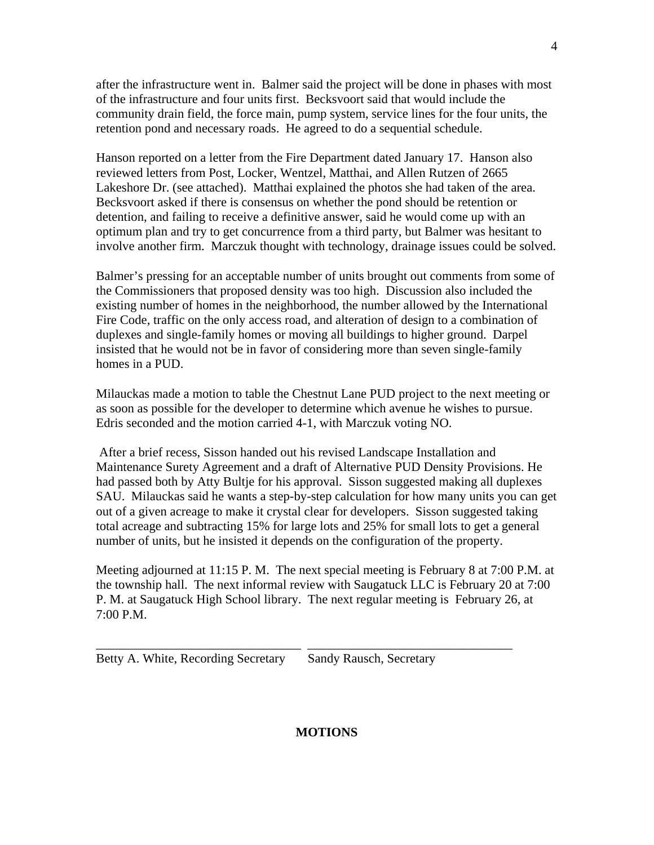after the infrastructure went in. Balmer said the project will be done in phases with most of the infrastructure and four units first. Becksvoort said that would include the community drain field, the force main, pump system, service lines for the four units, the retention pond and necessary roads. He agreed to do a sequential schedule.

Hanson reported on a letter from the Fire Department dated January 17. Hanson also reviewed letters from Post, Locker, Wentzel, Matthai, and Allen Rutzen of 2665 Lakeshore Dr. (see attached). Matthai explained the photos she had taken of the area. Becksvoort asked if there is consensus on whether the pond should be retention or detention, and failing to receive a definitive answer, said he would come up with an optimum plan and try to get concurrence from a third party, but Balmer was hesitant to involve another firm. Marczuk thought with technology, drainage issues could be solved.

Balmer's pressing for an acceptable number of units brought out comments from some of the Commissioners that proposed density was too high. Discussion also included the existing number of homes in the neighborhood, the number allowed by the International Fire Code, traffic on the only access road, and alteration of design to a combination of duplexes and single-family homes or moving all buildings to higher ground. Darpel insisted that he would not be in favor of considering more than seven single-family homes in a PUD.

Milauckas made a motion to table the Chestnut Lane PUD project to the next meeting or as soon as possible for the developer to determine which avenue he wishes to pursue. Edris seconded and the motion carried 4-1, with Marczuk voting NO.

 After a brief recess, Sisson handed out his revised Landscape Installation and Maintenance Surety Agreement and a draft of Alternative PUD Density Provisions. He had passed both by Atty Bultje for his approval. Sisson suggested making all duplexes SAU. Milauckas said he wants a step-by-step calculation for how many units you can get out of a given acreage to make it crystal clear for developers. Sisson suggested taking total acreage and subtracting 15% for large lots and 25% for small lots to get a general number of units, but he insisted it depends on the configuration of the property.

Meeting adjourned at 11:15 P. M. The next special meeting is February 8 at 7:00 P.M. at the township hall. The next informal review with Saugatuck LLC is February 20 at 7:00 P. M. at Saugatuck High School library. The next regular meeting is February 26, at 7:00 P.M.

\_\_\_\_\_\_\_\_\_\_\_\_\_\_\_\_\_\_\_\_\_\_\_\_\_\_\_\_\_\_\_\_ \_\_\_\_\_\_\_\_\_\_\_\_\_\_\_\_\_\_\_\_\_\_\_\_\_\_\_\_\_\_\_\_

Betty A. White, Recording Secretary Sandy Rausch, Secretary

## **MOTIONS**